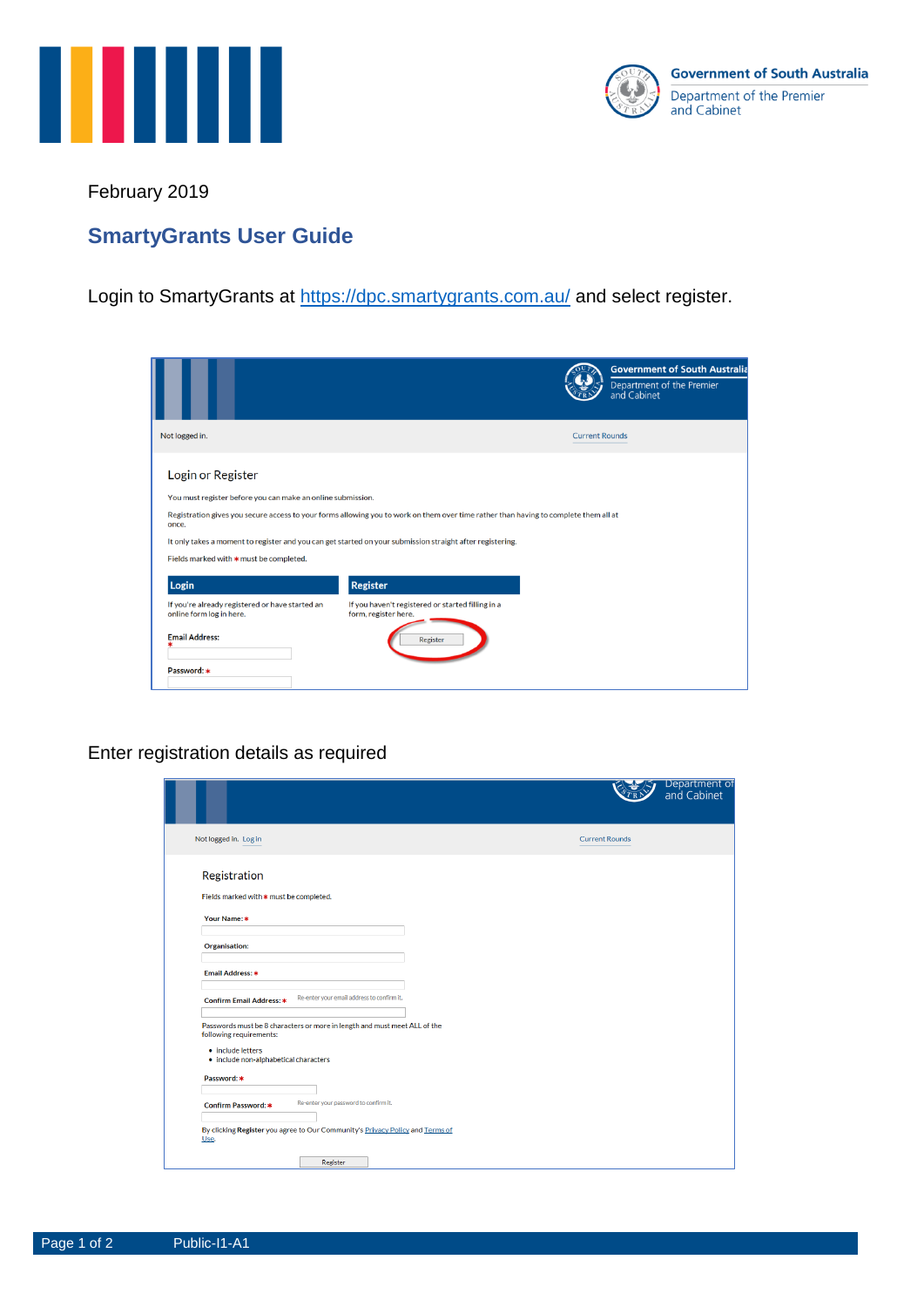



February 2019

## **SmartyGrants User Guide**

Login to SmartyGrants at<https://dpc.smartygrants.com.au/> and select register.

|                                                                             |                                                                                                                                      |                       | <b>Government of South Australia</b><br>Department of the Premier<br>and Cabinet |
|-----------------------------------------------------------------------------|--------------------------------------------------------------------------------------------------------------------------------------|-----------------------|----------------------------------------------------------------------------------|
| Not logged in.                                                              |                                                                                                                                      | <b>Current Rounds</b> |                                                                                  |
| Login or Register                                                           |                                                                                                                                      |                       |                                                                                  |
| You must register before you can make an online submission.                 |                                                                                                                                      |                       |                                                                                  |
| once.                                                                       | Registration gives you secure access to your forms allowing you to work on them over time rather than having to complete them all at |                       |                                                                                  |
|                                                                             | It only takes a moment to register and you can get started on your submission straight after registering.                            |                       |                                                                                  |
| Fields marked with * must be completed.                                     |                                                                                                                                      |                       |                                                                                  |
| Login                                                                       | Register                                                                                                                             |                       |                                                                                  |
| If you're already registered or have started an<br>online form log in here. | If you haven't registered or started filling in a<br>form, register here.                                                            |                       |                                                                                  |
| <b>Email Address:</b>                                                       | Register                                                                                                                             |                       |                                                                                  |
| Password: *                                                                 |                                                                                                                                      |                       |                                                                                  |

## Enter registration details as required

|                                                                                                      | Department of<br>and Cabinet |
|------------------------------------------------------------------------------------------------------|------------------------------|
| Not logged in. Log in                                                                                | <b>Current Rounds</b>        |
| Registration                                                                                         |                              |
| Fields marked with * must be completed.                                                              |                              |
| Your Name: *                                                                                         |                              |
| <b>Organisation:</b>                                                                                 |                              |
| Email Address: *                                                                                     |                              |
| Re-enter your email address to confirm it.<br><b>Confirm Email Address: *</b>                        |                              |
| Passwords must be 8 characters or more in length and must meet ALL of the<br>following requirements: |                              |
| • include letters<br>· include non-alphabetical characters                                           |                              |
| Password: *                                                                                          |                              |
| Re-enter your password to confirm it.<br>Confirm Password: *                                         |                              |
| By clicking Register you agree to Our Community's Privacy Policy and Terms of<br>Use.                |                              |
| Register                                                                                             |                              |